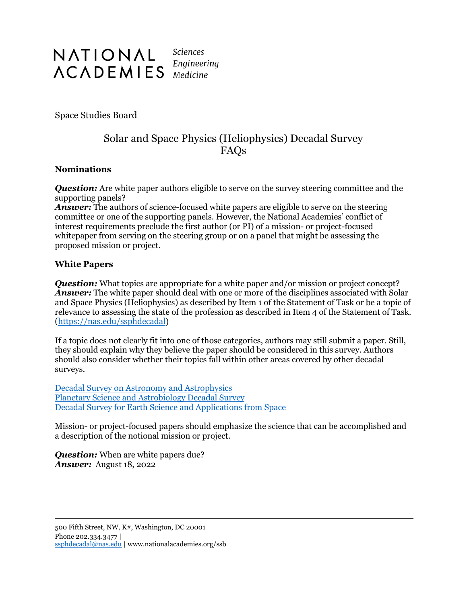

Space Studies Board

## Solar and Space Physics (Heliophysics) Decadal Survey FAQs

## **Nominations**

*Question:* Are white paper authors eligible to serve on the survey steering committee and the supporting panels?

*Answer:* The authors of science-focused white papers are eligible to serve on the steering committee or one of the supporting panels. However, the National Academies' conflict of interest requirements preclude the first author (or PI) of a mission- or project-focused whitepaper from serving on the steering group or on a panel that might be assessing the proposed mission or project.

## **White Papers**

*Question:* What topics are appropriate for a white paper and/or mission or project concept? Answer: The white paper should deal with one or more of the disciplines associated with Solar and Space Physics (Heliophysics) as described by Item 1 of the Statement of Task or be a topic of relevance to assessing the state of the profession as described in Item 4 of the Statement of Task. [\(https://nas.edu/ssphdecadal\)](https://nas.edu/ssphdecadal)

If a topic does not clearly fit into one of those categories, authors may still submit a paper. Still, they should explain why they believe the paper should be considered in this survey. Authors should also consider whether their topics fall within other areas covered by other decadal surveys.

[Decadal Survey on Astronomy and Astrophysics](https://www.nationalacademies.org/our-work/decadal-survey-on-astronomy-and-astrophysics-2020-astro2020) [Planetary Science and Astrobiology Decadal Survey](https://www.nationalacademies.org/our-work/planetary-science-and-astrobiology-decadal-survey-2023-2032) [Decadal Survey for Earth Science and Applications from Space](https://www.nationalacademies.org/our-work-decadal-survey-for-earth-science-and-applications-from-space)

Mission- or project-focused papers should emphasize the science that can be accomplished and a description of the notional mission or project.

*Question:* When are white papers due? *Answer:* August 18, 2022